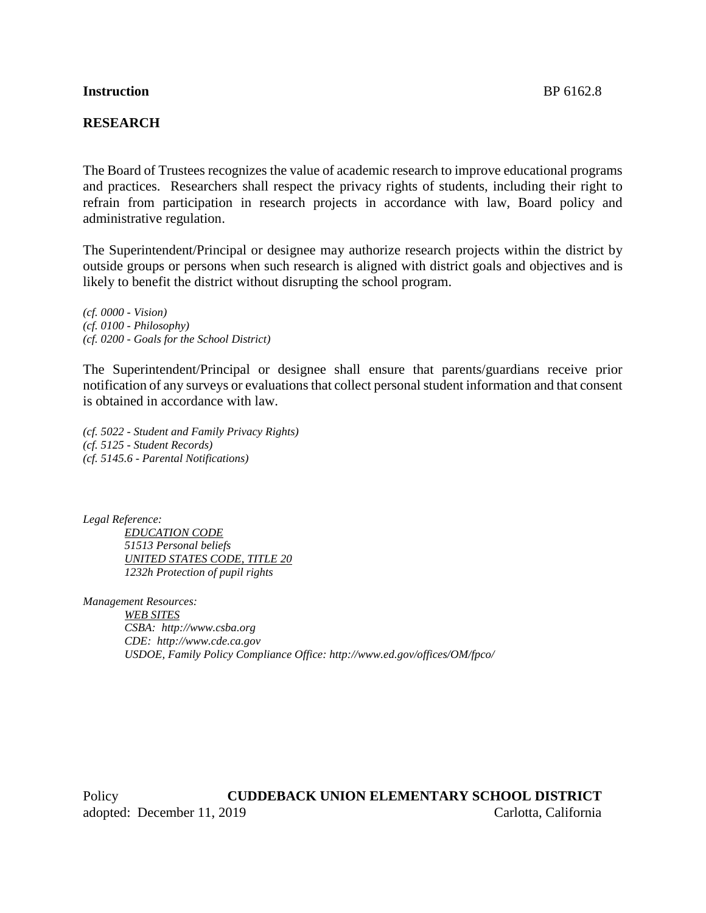## **Instruction** BP 6162.8

## **RESEARCH**

The Board of Trustees recognizes the value of academic research to improve educational programs and practices. Researchers shall respect the privacy rights of students, including their right to refrain from participation in research projects in accordance with law, Board policy and administrative regulation.

The Superintendent/Principal or designee may authorize research projects within the district by outside groups or persons when such research is aligned with district goals and objectives and is likely to benefit the district without disrupting the school program.

*(cf. 0000 - Vision) (cf. 0100 - Philosophy) (cf. 0200 - Goals for the School District)*

The Superintendent/Principal or designee shall ensure that parents/guardians receive prior notification of any surveys or evaluations that collect personal student information and that consent is obtained in accordance with law.

*(cf. 5022 - Student and Family Privacy Rights) (cf. 5125 - Student Records) (cf. 5145.6 - Parental Notifications)*

*Legal Reference: EDUCATION CODE 51513 Personal beliefs UNITED STATES CODE, TITLE 20 1232h Protection of pupil rights*

*Management Resources: WEB SITES CSBA: http://www.csba.org CDE: http://www.cde.ca.gov USDOE, Family Policy Compliance Office: http://www.ed.gov/offices/OM/fpco/*

Policy **CUDDEBACK UNION ELEMENTARY SCHOOL DISTRICT** adopted: December 11, 2019 Carlotta, California